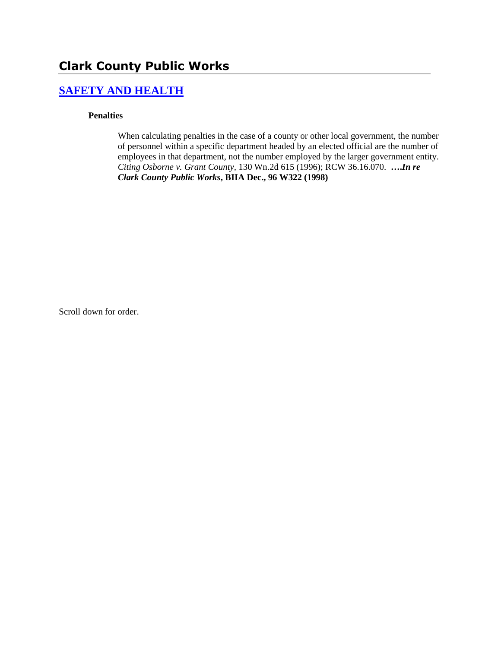# **Clark County Public Works**

### **[SAFETY AND HEALTH](http://www.biia.wa.gov/SDSubjectIndex.html#SAFETY_AND_HEALTH)**

#### **Penalties**

When calculating penalties in the case of a county or other local government, the number of personnel within a specific department headed by an elected official are the number of employees in that department, not the number employed by the larger government entity. *Citing Osborne v. Grant County,* 130 Wn.2d 615 (1996); RCW 36.16.070. **….***In re Clark County Public Works***, BIIA Dec., 96 W322 (1998)** 

Scroll down for order.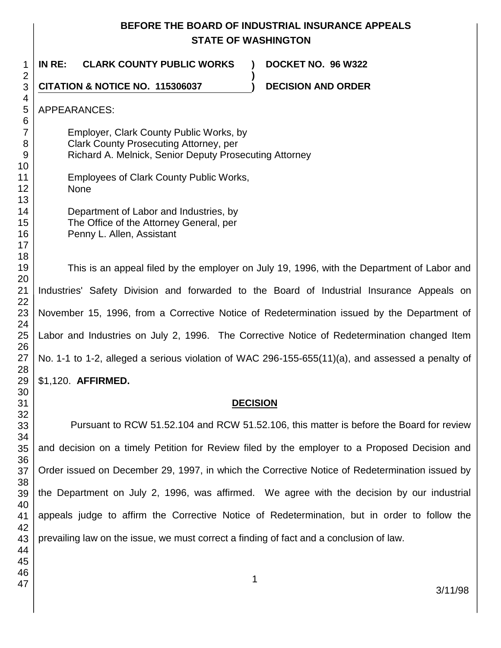## **BEFORE THE BOARD OF INDUSTRIAL INSURANCE APPEALS STATE OF WASHINGTON**

**)**

 **IN RE: CLARK COUNTY PUBLIC WORKS ) DOCKET NO. 96 W322**

**CITATION & NOTICE NO. 115306037 ) DECISION AND ORDER** 

APPEARANCES:

- Employer, Clark County Public Works, by Clark County Prosecuting Attorney, per Richard A. Melnick, Senior Deputy Prosecuting Attorney
- Employees of Clark County Public Works, None
	- Department of Labor and Industries, by The Office of the Attorney General, per Penny L. Allen, Assistant

This is an appeal filed by the employer on July 19, 1996, with the Department of Labor and Industries' Safety Division and forwarded to the Board of Industrial Insurance Appeals on November 15, 1996, from a Corrective Notice of Redetermination issued by the Department of Labor and Industries on July 2, 1996. The Corrective Notice of Redetermination changed Item No. 1-1 to 1-2, alleged a serious violation of WAC 296-155-655(11)(a), and assessed a penalty of \$1,120. **AFFIRMED.**

## **DECISION**

Pursuant to RCW 51.52.104 and RCW 51.52.106, this matter is before the Board for review and decision on a timely Petition for Review filed by the employer to a Proposed Decision and Order issued on December 29, 1997, in which the Corrective Notice of Redetermination issued by the Department on July 2, 1996, was affirmed. We agree with the decision by our industrial appeals judge to affirm the Corrective Notice of Redetermination, but in order to follow the prevailing law on the issue, we must correct a finding of fact and a conclusion of law.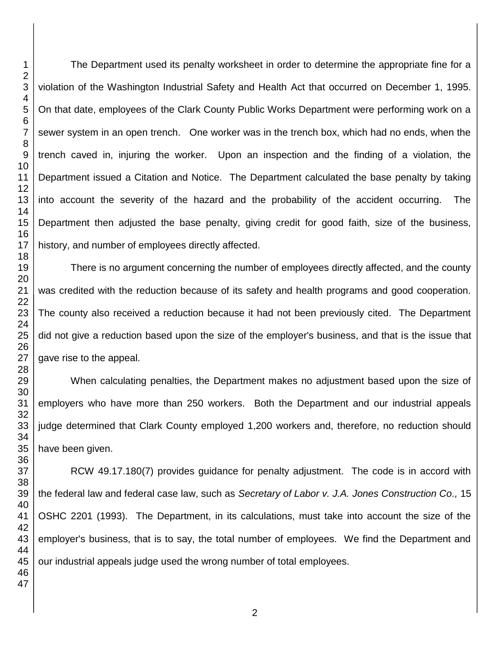The Department used its penalty worksheet in order to determine the appropriate fine for a violation of the Washington Industrial Safety and Health Act that occurred on December 1, 1995. On that date, employees of the Clark County Public Works Department were performing work on a sewer system in an open trench. One worker was in the trench box, which had no ends, when the trench caved in, injuring the worker. Upon an inspection and the finding of a violation, the Department issued a Citation and Notice. The Department calculated the base penalty by taking into account the severity of the hazard and the probability of the accident occurring. The Department then adjusted the base penalty, giving credit for good faith, size of the business, history, and number of employees directly affected.

There is no argument concerning the number of employees directly affected, and the county was credited with the reduction because of its safety and health programs and good cooperation. The county also received a reduction because it had not been previously cited. The Department did not give a reduction based upon the size of the employer's business, and that is the issue that gave rise to the appeal.

When calculating penalties, the Department makes no adjustment based upon the size of employers who have more than 250 workers. Both the Department and our industrial appeals judge determined that Clark County employed 1,200 workers and, therefore, no reduction should have been given.

RCW 49.17.180(7) provides guidance for penalty adjustment. The code is in accord with the federal law and federal case law, such as *Secretary of Labor v. J.A. Jones Construction Co.,* 15 OSHC 2201 (1993). The Department, in its calculations, must take into account the size of the employer's business, that is to say, the total number of employees. We find the Department and our industrial appeals judge used the wrong number of total employees.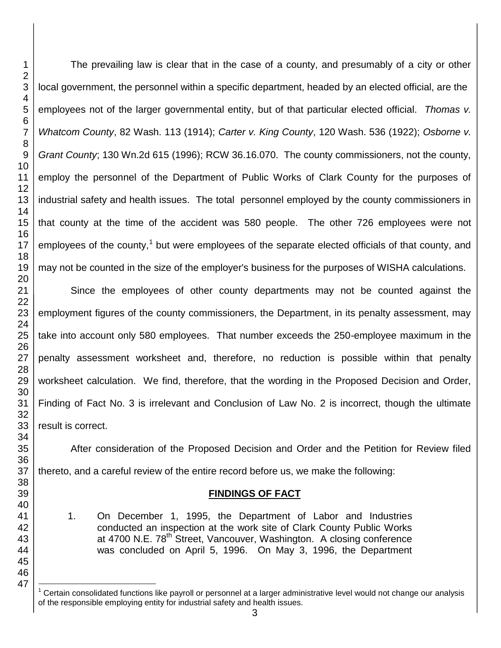l

The prevailing law is clear that in the case of a county, and presumably of a city or other local government, the personnel within a specific department, headed by an elected official, are the employees not of the larger governmental entity, but of that particular elected official. *Thomas v. Whatcom County*, 82 Wash. 113 (1914); *Carter v. King County*, 120 Wash. 536 (1922); *Osborne v. Grant County*; 130 Wn.2d 615 (1996); RCW 36.16.070. The county commissioners, not the county, employ the personnel of the Department of Public Works of Clark County for the purposes of industrial safety and health issues. The total personnel employed by the county commissioners in that county at the time of the accident was 580 people. The other 726 employees were not employees of the county,<sup>1</sup> but were employees of the separate elected officials of that county, and may not be counted in the size of the employer's business for the purposes of WISHA calculations.

Since the employees of other county departments may not be counted against the employment figures of the county commissioners, the Department, in its penalty assessment, may take into account only 580 employees. That number exceeds the 250-employee maximum in the penalty assessment worksheet and, therefore, no reduction is possible within that penalty worksheet calculation. We find, therefore, that the wording in the Proposed Decision and Order, Finding of Fact No. 3 is irrelevant and Conclusion of Law No. 2 is incorrect, though the ultimate result is correct.

After consideration of the Proposed Decision and Order and the Petition for Review filed thereto, and a careful review of the entire record before us, we make the following:

#### **FINDINGS OF FACT**

1. On December 1, 1995, the Department of Labor and Industries conducted an inspection at the work site of Clark County Public Works at 4700 N.E. 78<sup>th</sup> Street, Vancouver, Washington. A closing conference was concluded on April 5, 1996. On May 3, 1996, the Department

 Certain consolidated functions like payroll or personnel at a larger administrative level would not change our analysis of the responsible employing entity for industrial safety and health issues.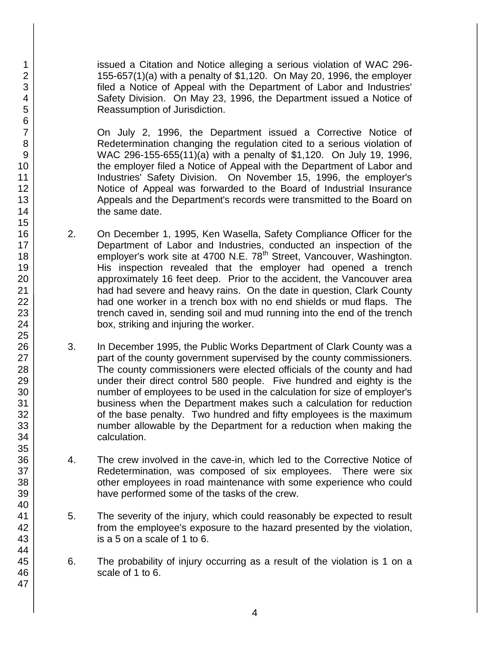issued a Citation and Notice alleging a serious violation of WAC 296- 155-657(1)(a) with a penalty of \$1,120. On May 20, 1996, the employer filed a Notice of Appeal with the Department of Labor and Industries' Safety Division. On May 23, 1996, the Department issued a Notice of Reassumption of Jurisdiction.

On July 2, 1996, the Department issued a Corrective Notice of Redetermination changing the regulation cited to a serious violation of WAC 296-155-655(11)(a) with a penalty of \$1,120. On July 19, 1996, the employer filed a Notice of Appeal with the Department of Labor and Industries' Safety Division. On November 15, 1996, the employer's Notice of Appeal was forwarded to the Board of Industrial Insurance Appeals and the Department's records were transmitted to the Board on the same date.

- 2. On December 1, 1995, Ken Wasella, Safety Compliance Officer for the Department of Labor and Industries, conducted an inspection of the employer's work site at 4700 N.E. 78<sup>th</sup> Street, Vancouver, Washington. His inspection revealed that the employer had opened a trench approximately 16 feet deep. Prior to the accident, the Vancouver area had had severe and heavy rains. On the date in question, Clark County had one worker in a trench box with no end shields or mud flaps. The trench caved in, sending soil and mud running into the end of the trench box, striking and injuring the worker.
- 3. In December 1995, the Public Works Department of Clark County was a part of the county government supervised by the county commissioners. The county commissioners were elected officials of the county and had under their direct control 580 people. Five hundred and eighty is the number of employees to be used in the calculation for size of employer's business when the Department makes such a calculation for reduction of the base penalty. Two hundred and fifty employees is the maximum number allowable by the Department for a reduction when making the calculation.
- 4. The crew involved in the cave-in, which led to the Corrective Notice of Redetermination, was composed of six employees. There were six other employees in road maintenance with some experience who could have performed some of the tasks of the crew.
- 5. The severity of the injury, which could reasonably be expected to result from the employee's exposure to the hazard presented by the violation, is a 5 on a scale of 1 to 6.
- 6. The probability of injury occurring as a result of the violation is 1 on a scale of 1 to 6.